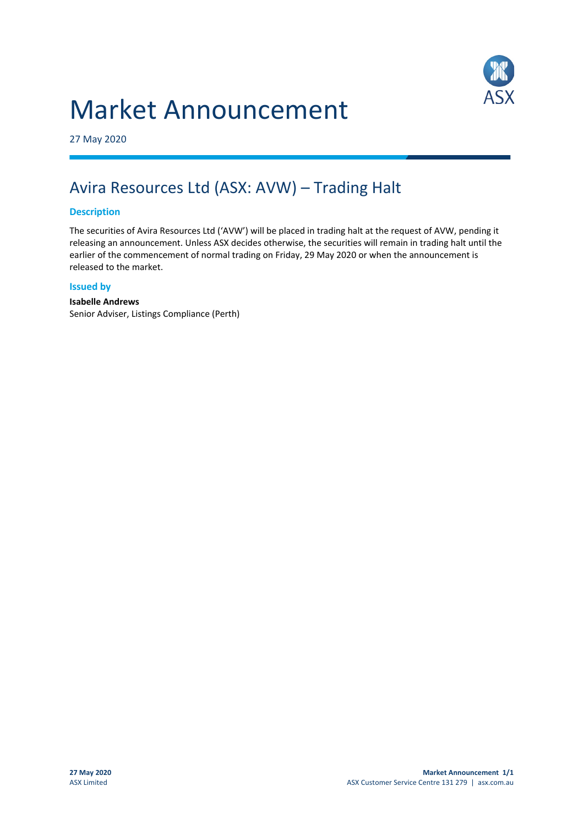# Market Announcement



27 May 2020

## Avira Resources Ltd (ASX: AVW) – Trading Halt

#### **Description**

The securities of Avira Resources Ltd ('AVW') will be placed in trading halt at the request of AVW, pending it releasing an announcement. Unless ASX decides otherwise, the securities will remain in trading halt until the earlier of the commencement of normal trading on Friday, 29 May 2020 or when the announcement is released to the market.

#### **Issued by**

#### **Isabelle Andrews**

Senior Adviser, Listings Compliance (Perth)